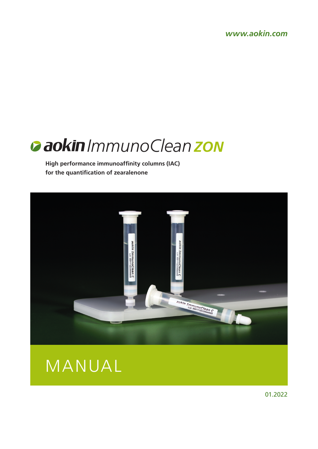*www.aokin.com*

# *ImmunoCleanZON*

**High performance immunoaffinity columns (IAC) for the quantification of zearalenone**





01.2022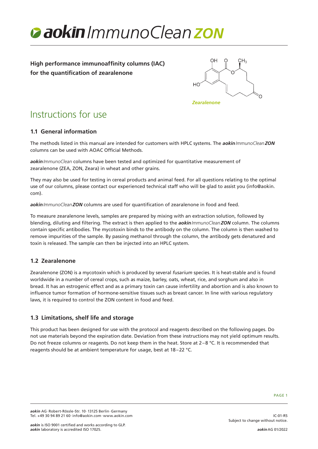

**High performance immunoaffinity columns (IAC) for the quantification of zearalenone**



# Instructions for use

# **1.1 General information**

The methods listed in this manual are intended for customers with HPLC systems. The *aokinImmunoCleanZON* columns can be used with AOAC Official Methods.

*aokinImmunoClean* columns have been tested and optimized for quantitative measurement of zearalenone (ZEA, ZON, Zeara) in wheat and other grains.

They may also be used for testing in cereal products and animal feed. For all questions relating to the optimal use of our columns, please contact our experienced technical staff who will be glad to assist you (info@aokin. com).

*aokinImmunoCleanZON* columns are used for quantification of zearalenone in food and feed.

To measure zearalenone levels, samples are prepared by mixing with an extraction solution, followed by blending, diluting and filtering. The extract is then applied to the *aokinImmunoCleanZON* column. The columns contain specific antibodies. The mycotoxin binds to the antibody on the column. The column is then washed to remove impurities of the sample. By passing methanol through the column, the antibody gets denatured and toxin is released. The sample can then be injected into an HPLC system.

# **1.2 Zearalenone**

Zearalenone (ZON) is a mycotoxin which is produced by several *fusarium* species. It is heat-stable and is found worldwide in a number of cereal crops, such as maize, barley, oats, wheat, rice, and sorghum and also in bread. It has an estrogenic effect and as a primary toxin can cause infertility and abortion and is also known to influence tumor formation of hormone-sensitive tissues such as breast cancer. In line with various regulatory laws, it is required to control the ZON content in food and feed.

# **1.3 Limitations, shelf life and storage**

This product has been designed for use with the protocol and reagents described on the following pages. Do not use materials beyond the expiration date. Deviation from these instructions may not yield optimum results. Do not freeze columns or reagents. Do not keep them in the heat. Store at 2–8 °C. It is recommended that reagents should be at ambient temperature for usage, best at 18–22 °C.

PAGE 1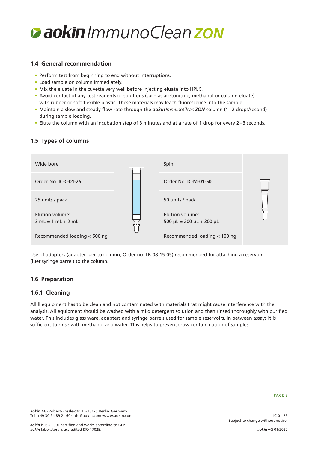

### **1.4 General recommendation**

- Perform test from beginning to end without interruptions.
- Load sample on column immediately.
- Mix the eluate in the cuvette very well before injecting eluate into HPLC.
- Avoid contact of any test reagents or solutions (such as acetonitrile, methanol or column eluate) with rubber or soft flexible plastic. These materials may leach fluorescence into the sample.
- Maintain a slow and steady flow rate through the *aokinImmunoCleanZON* column (1–2 drops/second) during sample loading.
- Elute the column with an incubation step of 3 minutes and at a rate of 1 drop for every 2–3 seconds.

# **1.5 Types of columns**



Use of adapters (adapter luer to column; Order no: LB-08-15-05) recommended for attaching a reservoir (luer syringe barrel) to the column.

# **1.6 Preparation**

### **1.6.1 Cleaning**

All ll equipment has to be clean and not contaminated with materials that might cause interference with the analysis. All equipment should be washed with a mild detergent solution and then rinsed thoroughly with purified water. This includes glass ware, adapters and syringe barrels used for sample reservoirs. In between assays it is sufficient to rinse with methanol and water. This helps to prevent cross-contamination of samples.

IC-01-R5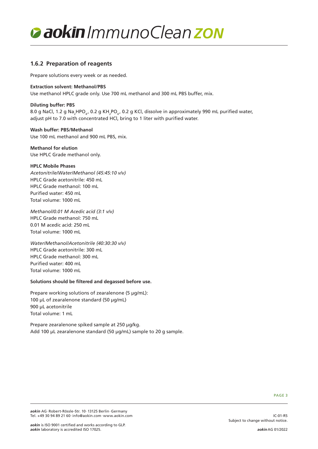

## **1.6.2 Preparation of reagents**

Prepare solutions every week or as needed.

#### **Extraction solvent: Methanol/PBS**

Use methanol HPLC grade only. Use 700 mL methanol and 300 mL PBS buffer, mix.

#### **Diluting buffer: PBS**

8.0 g NaCl, 1.2 g Na<sub>2</sub>HPO<sub>4</sub>, 0.2 g KH<sub>2</sub>PO<sub>4</sub>, 0.2 g KCl, dissolve in approximately 990 mL purified water, adjust pH to 7.0 with concentrated HCl, bring to 1 liter with purified water.

#### **Wash buffer: PBS/Methanol**

Use 100 mL methanol and 900 mL PBS, mix.

#### **Methanol for elution** Use HPLC Grade methanol only.

#### **HPLC Mobile Phases**

*Acetonitrile/Water/Methanol (45:45:10 v/v)* HPLC Grade acetonitrile: 450 mL HPLC Grade methanol: 100 mL Purified water: 450 mL Total volume: 1000 mL

*Methanol/0.01 M Acedic acid (3:1 v/v)* HPLC Grade methanol: 750 mL 0.01 M acedic acid: 250 mL Total volume: 1000 mL

*Water/Methanol/Acetonitrile (40:30:30 v/v)* HPLC Grade acetonitrile: 300 mL HPLC Grade methanol: 300 mL Purified water: 400 mL Total volume: 1000 mL

#### **Solutions should be filtered and degassed before use.**

Prepare working solutions of zearalenone (5 µg/mL): 100 µL of zearalenone standard (50 µg/mL) 900 µL acetonitrile Total volume: 1 mL

Prepare zearalenone spiked sample at 250 µg/kg. Add 100 µL zearalenone standard (50 µg/mL) sample to 20 g sample.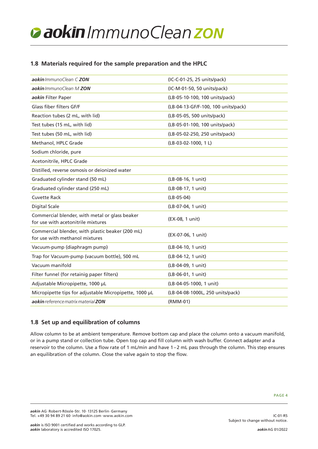# *ImmunoCleanZON*

# **1.8 Materials required for the sample preparation and the HPLC**

| aokin ImmunoClean C ZON                                                              | (IC-C-01-25, 25 units/pack)         |
|--------------------------------------------------------------------------------------|-------------------------------------|
| aokin ImmunoClean M ZON                                                              | (IC-M-01-50, 50 units/pack)         |
| aokin Filter Paper                                                                   | (LB-05-10-100, 100 units/pack)      |
| Glass fiber filters GF/F                                                             | (LB-04-13-GF/F-100, 100 units/pack) |
| Reaction tubes (2 mL, with lid)                                                      | (LB-05-05, 500 units/pack)          |
| Test tubes (15 mL, with lid)                                                         | (LB-05-01-100, 100 units/pack)      |
| Test tubes (50 mL, with lid)                                                         | (LB-05-02-250, 250 units/pack)      |
| Methanol, HPLC Grade                                                                 | (LB-03-02-1000, 1L)                 |
| Sodium chloride, pure                                                                |                                     |
| Acetonitrile, HPLC Grade                                                             |                                     |
| Distilled, reverse osmosis or deionized water                                        |                                     |
| Graduated cylinder stand (50 mL)                                                     | (LB-08-16, 1 unit)                  |
| Graduated cylinder stand (250 mL)                                                    | (LB-08-17, 1 unit)                  |
| <b>Cuvette Rack</b>                                                                  | $(LB-05-04)$                        |
| <b>Digital Scale</b>                                                                 | (LB-07-04, 1 unit)                  |
| Commercial blender, with metal or glass beaker<br>for use with acetonitrile mixtures | (EX-08, 1 unit)                     |
| Commercial blender, with plastic beaker (200 mL)<br>for use with methanol mixtures   | (EX-07-06, 1 unit)                  |
| Vacuum-pump (diaphragm pump)                                                         | (LB-04-10, 1 unit)                  |
| Trap for Vacuum-pump (vacuum bottle), 500 mL                                         | (LB-04-12, 1 unit)                  |
| Vacuum manifold                                                                      | (LB-04-09, 1 unit)                  |
| Filter funnel (for retainig paper filters)                                           | (LB-06-01, 1 unit)                  |
| Adjustable Micropipette, 1000 µL                                                     | (LB-04-05-1000, 1 unit)             |
| Micropipette tips for adjustable Micropipette, 1000 µL                               | (LB-04-08-1000L, 250 units/pack)    |
| aokin reference matrix material ZON                                                  | (RMM-01)                            |

# **1.8 Set up and equilibration of columns**

Allow column to be at ambient temperature. Remove bottom cap and place the column onto a vacuum manifold, or in a pump stand or collection tube. Open top cap and fill column with wash buffer. Connect adapter and a reservoir to the column. Use a flow rate of 1 mL/min and have 1–2 mL pass through the column. This step ensures an equilibration of the column. Close the valve again to stop the flow.

IC-01-R5

Subject to change without notice.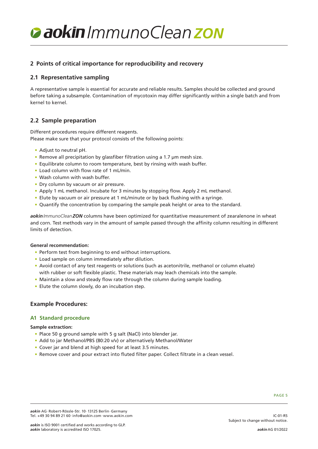# *ImmunoCleanZON*

# **2 Points of critical importance for reproducibility and recovery**

# **2.1 Representative sampling**

A representative sample is essential for accurate and reliable results. Samples should be collected and ground before taking a subsample. Contamination of mycotoxin may differ significantly within a single batch and from kernel to kernel.

## **2.2 Sample preparation**

Different procedures require different reagents. Please make sure that your protocol consists of the following points:

- Adjust to neutral pH.
- Remove all precipitation by glassfiber filtration using a 1.7 µm mesh size.
- Equilibrate column to room temperature, best by rinsing with wash buffer.
- Load column with flow rate of 1 mL/min.
- Wash column with wash buffer.
- Dry column by vacuum or air pressure.
- Apply 1 mL methanol. Incubate for 3 minutes by stopping flow. Apply 2 mL methanol.
- Elute by vacuum or air pressure at 1 mL/minute or by back flushing with a syringe.
- Quantify the concentration by comparing the sample peak height or area to the standard.

*aokinImmunoCleanZON* columns have been optimized for quantitative measurement of zearalenone in wheat and corn. Test methods vary in the amount of sample passed through the affinity column resulting in different limits of detection.

#### **General recommendation:**

- Perform test from beginning to end without interruptions.
- Load sample on column immediately after dilution.
- Avoid contact of any test reagents or solutions (such as acetonitrile, methanol or column eluate) with rubber or soft flexible plastic. These materials may leach chemicals into the sample.
- Maintain a slow and steady flow rate through the column during sample loading.
- Elute the column slowly, do an incubation step.

### **Example Procedures:**

### **A1 Standard procedure**

#### **Sample extraction:**

- Place 50 g ground sample with 5 g salt (NaCl) into blender jar.
- Add to jar Methanol/PBS (80:20 v/v) or alternatively Methanol/Water
- Cover jar and blend at high speed for at least 3.5 minutes.
- Remove cover and pour extract into fluted filter paper. Collect filtrate in a clean vessel.

#### PAGE 5

IC-01-R5

*aokin* AG·Robert-Rössle-Str. 10·13125 Berlin·Germany Tel. +49 30 94 89 21 60·info@aokin.com·www.aokin.com

Subject to change without notice.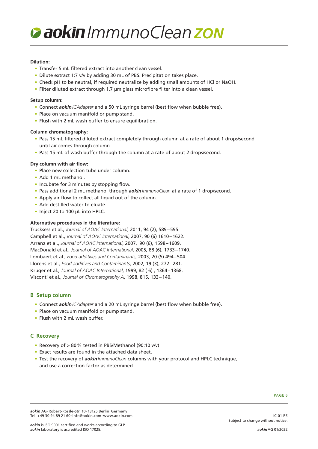# *ImmunoCleanZON*

#### **Dilution:**

- Transfer 5 mL filtered extract into another clean vessel.
- Dilute extract 1:7 v/v by adding 30 mL of PBS. Precipitation takes place.
- Check pH to be neutral, if required neutralize by adding small amounts of HCl or NaOH.
- Filter diluted extract through 1.7 µm glass microfibre filter into a clean vessel.

#### **Setup column:**

- Connect *aokinICAdapter* and a 50 mL syringe barrel (best flow when bubble free).
- Place on vacuum manifold or pump stand.
- Flush with 2 mL wash buffer to ensure equilibration.

#### **Column chromatography:**

- Pass 15 mL filtered diluted extract completely through column at a rate of about 1 drops/second until air comes through column.
- Pass 15 mL of wash buffer through the column at a rate of about 2 drops/second.

#### **Dry column with air flow:**

- Place new collection tube under column.
- Add 1 mL methanol.
- Incubate for 3 minutes by stopping flow.
- Pass additional 2 mL methanol through *aokinImmunoClean* at a rate of 1 drop/second.
- Apply air flow to collect all liquid out of the column.
- Add destilled water to eluate.
- Inject 20 to 100 µL into HPLC.

#### **Alternative procedures in the literature:**

Trucksess et al., *Journal of AOAC International*, 2011, 94 (2), 589–595. Campbell et al., *Journal of AOAC International*, 2007, 90 (6) 1610–1622. Arranz et al., *Journal of AOAC International*, 2007, 90 (6), 1598–1609. MacDonald et al., *Journal of AOAC International*, 2005, 88 (6), 1733–1740. Lombaert et al., *Food additives and Contaminants*, 2003, 20 (5) 494–504. Llorens et al., *Food additives and Contaminants*, 2002, 19 (3), 272–281. Kruger et al., *Journal of AOAC International*, 1999, 82 ( 6) , 1364–1368. Visconti et al., *Journal of Chromatography A*, 1998, 815, 133–140.

### **B Setup column**

- Connect *aokinICAdapter* and a 20 mL syringe barrel (best flow when bubble free).
- Place on vacuum manifold or pump stand.
- Flush with 2 mL wash buffer.

### **C Recovery**

- Recovery of > 80% tested in PBS/Methanol (90:10 v/v)
- Exact results are found in the attached data sheet.
- Test the recovery of *aokinImmunoClean* columns with your protocol and HPLC technique, and use a correction factor as determined.

IC-01-R5

*aokin* AG·Robert-Rössle-Str. 10·13125 Berlin·Germany Tel. +49 30 94 89 21 60·info@aokin.com·www.aokin.com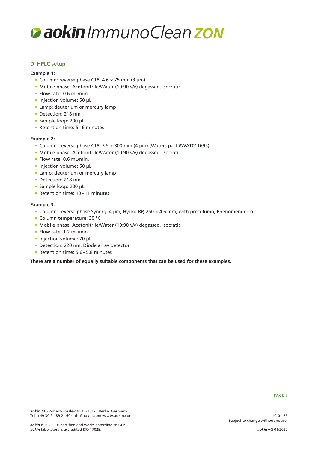

#### **D HPLC setup**

#### **Example 1:**

- Column: reverse phase C18, 4.6 × 75 mm (3 µm)
- Mobile phase: Acetonitrile/Water (10:90 v/v) degassed, isocratic
- Flow rate: 0.6 mL/min
- Injection volume: 50 µL
- Lamp: deuterium or mercury lamp
- Detection: 218 nm
- Sample loop: 200 µL
- Retention time: 5–6 minutes

#### **Example 2:**

- Column: reverse phase C18, 3.9 × 300 mm (4 µm) (Waters part #WAT011695)
- Mobile phase: Acetonitrile/Water (10:90 v/v) degassed, isocratic
- Flow rate: 0.6 mL/min.
- Injection volume: 50 µL
- Lamp: deuterium or mercury lamp
- Detection: 218 nm
- Sample loop: 200 µL
- Retention time: 10–11 minutes

#### **Example 3:**

- Column: reverse phase Synergi 4 µm, Hydro-RP, 250 × 4.6 mm, with precolumn, Phenomenex Co.
- Column temperature: 30 °C
- Mobile phase: Acetonitrile/Water (10:90 v/v) degassed, isocratic
- Flow rate: 1.2 mL/min.
- Injection volume: 70 µL
- Detection: 220 nm, Diode array detector
- Retention time: 5.6–5.8 minutes

**There are a number of equally suitable components that can be used for these examples.**

IC-01-R5

Subject to change without notice.